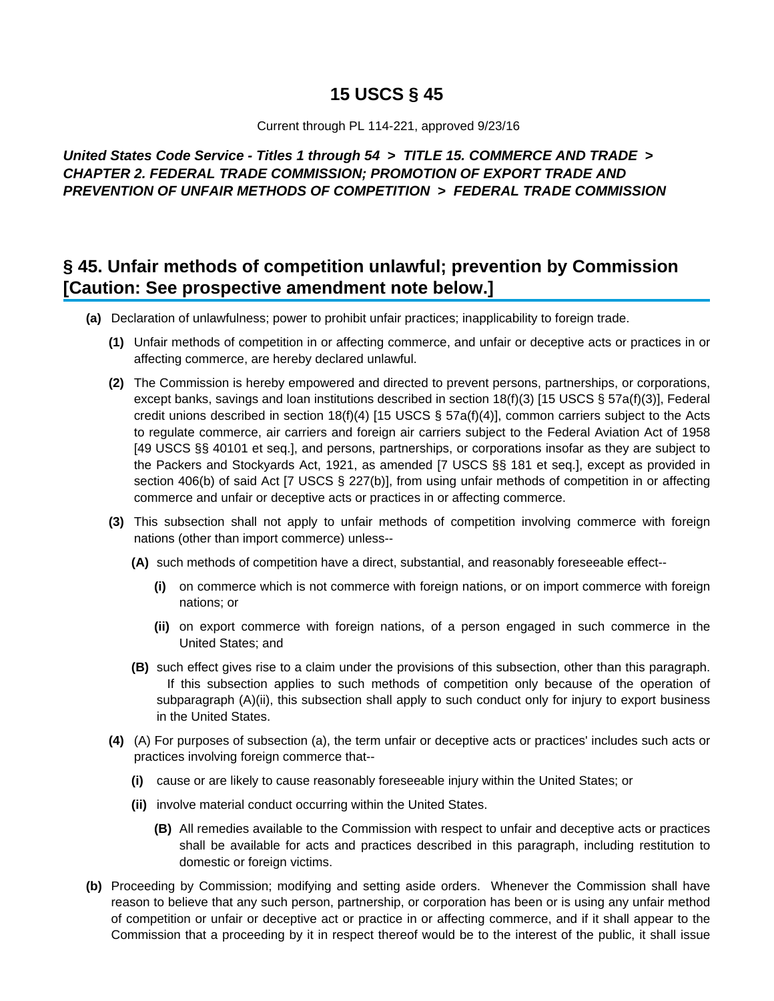## **15 USCS § 45**

## Current through PL 114-221, approved 9/23/16

**United States Code Service - Titles 1 through 54 > TITLE 15. COMMERCE AND TRADE > CHAPTER 2. FEDERAL TRADE COMMISSION; PROMOTION OF EXPORT TRADE AND PREVENTION OF UNFAIR METHODS OF COMPETITION > FEDERAL TRADE COMMISSION**

## **§ 45. Unfair methods of competition unlawful; prevention by Commission [Caution: See prospective amendment note below.]**

- **(a)** Declaration of unlawfulness; power to prohibit unfair practices; inapplicability to foreign trade.
	- **(1)** Unfair methods of competition in or affecting commerce, and unfair or deceptive acts or practices in or affecting commerce, are hereby declared unlawful.
	- **(2)** The Commission is hereby empowered and directed to prevent persons, partnerships, or corporations, except banks, savings and loan institutions described in section  $18(f)(3)$  [15 USCS § 57a(f)(3)], Federal credit unions described in section  $18(f)(4)$  [15 USCS § 57a(f)(4)], common carriers subject to the Acts to regulate commerce, air carriers and foreign air carriers subject to the Federal Aviation Act of 1958 [49 USCS §§ 40101 et seq.], and persons, partnerships, or corporations insofar as they are subject to the Packers and Stockyards Act, 1921, as amended [7 USCS §§ 181 et seq.], except as provided in section 406(b) of said Act [7 USCS § 227(b)], from using unfair methods of competition in or affecting commerce and unfair or deceptive acts or practices in or affecting commerce.
	- **(3)** This subsection shall not apply to unfair methods of competition involving commerce with foreign nations (other than import commerce) unless--
		- **(A)** such methods of competition have a direct, substantial, and reasonably foreseeable effect--
			- **(i)** on commerce which is not commerce with foreign nations, or on import commerce with foreign nations; or
			- **(ii)** on export commerce with foreign nations, of a person engaged in such commerce in the United States; and
		- **(B)** such effect gives rise to a claim under the provisions of this subsection, other than this paragraph. If this subsection applies to such methods of competition only because of the operation of subparagraph (A)(ii), this subsection shall apply to such conduct only for injury to export business in the United States.
	- **(4)** (A) For purposes of subsection (a), the term unfair or deceptive acts or practices' includes such acts or practices involving foreign commerce that--
		- **(i)** cause or are likely to cause reasonably foreseeable injury within the United States; or
		- **(ii)** involve material conduct occurring within the United States.
			- **(B)** All remedies available to the Commission with respect to unfair and deceptive acts or practices shall be available for acts and practices described in this paragraph, including restitution to domestic or foreign victims.
- **(b)** Proceeding by Commission; modifying and setting aside orders. Whenever the Commission shall have reason to believe that any such person, partnership, or corporation has been or is using any unfair method of competition or unfair or deceptive act or practice in or affecting commerce, and if it shall appear to the Commission that a proceeding by it in respect thereof would be to the interest of the public, it shall issue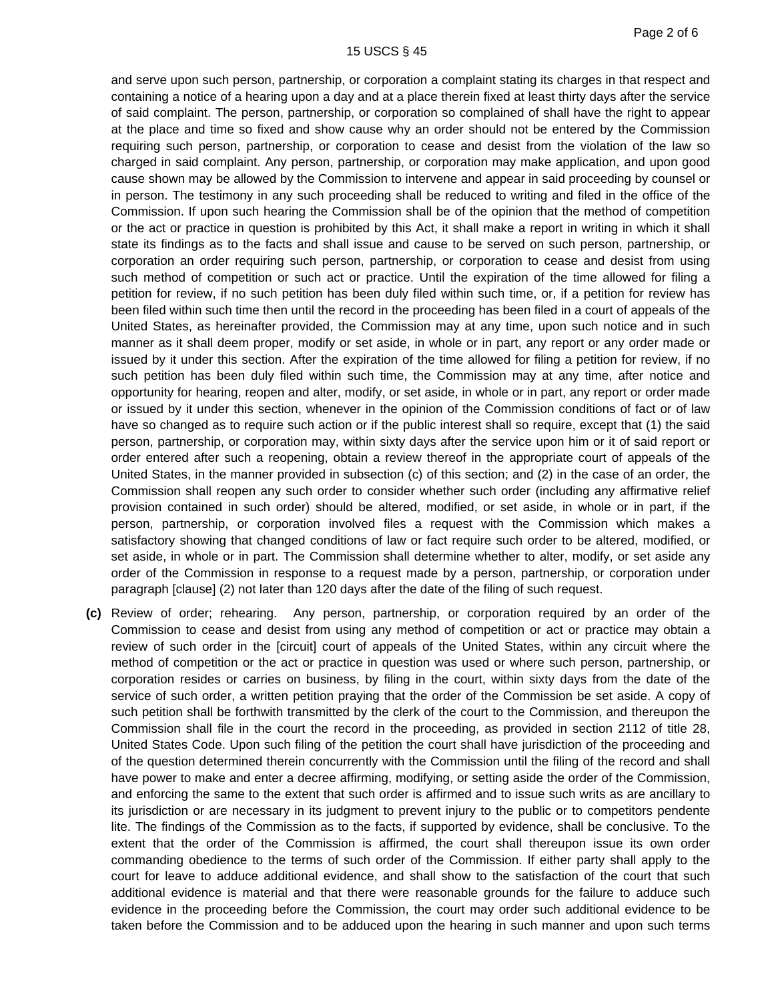and serve upon such person, partnership, or corporation a complaint stating its charges in that respect and containing a notice of a hearing upon a day and at a place therein fixed at least thirty days after the service of said complaint. The person, partnership, or corporation so complained of shall have the right to appear at the place and time so fixed and show cause why an order should not be entered by the Commission requiring such person, partnership, or corporation to cease and desist from the violation of the law so charged in said complaint. Any person, partnership, or corporation may make application, and upon good cause shown may be allowed by the Commission to intervene and appear in said proceeding by counsel or in person. The testimony in any such proceeding shall be reduced to writing and filed in the office of the Commission. If upon such hearing the Commission shall be of the opinion that the method of competition or the act or practice in question is prohibited by this Act, it shall make a report in writing in which it shall state its findings as to the facts and shall issue and cause to be served on such person, partnership, or corporation an order requiring such person, partnership, or corporation to cease and desist from using such method of competition or such act or practice. Until the expiration of the time allowed for filing a petition for review, if no such petition has been duly filed within such time, or, if a petition for review has been filed within such time then until the record in the proceeding has been filed in a court of appeals of the United States, as hereinafter provided, the Commission may at any time, upon such notice and in such manner as it shall deem proper, modify or set aside, in whole or in part, any report or any order made or issued by it under this section. After the expiration of the time allowed for filing a petition for review, if no such petition has been duly filed within such time, the Commission may at any time, after notice and opportunity for hearing, reopen and alter, modify, or set aside, in whole or in part, any report or order made or issued by it under this section, whenever in the opinion of the Commission conditions of fact or of law have so changed as to require such action or if the public interest shall so require, except that (1) the said person, partnership, or corporation may, within sixty days after the service upon him or it of said report or order entered after such a reopening, obtain a review thereof in the appropriate court of appeals of the United States, in the manner provided in subsection (c) of this section; and (2) in the case of an order, the Commission shall reopen any such order to consider whether such order (including any affirmative relief provision contained in such order) should be altered, modified, or set aside, in whole or in part, if the person, partnership, or corporation involved files a request with the Commission which makes a satisfactory showing that changed conditions of law or fact require such order to be altered, modified, or set aside, in whole or in part. The Commission shall determine whether to alter, modify, or set aside any order of the Commission in response to a request made by a person, partnership, or corporation under paragraph [clause] (2) not later than 120 days after the date of the filing of such request.

**(c)** Review of order; rehearing. Any person, partnership, or corporation required by an order of the Commission to cease and desist from using any method of competition or act or practice may obtain a review of such order in the [circuit] court of appeals of the United States, within any circuit where the method of competition or the act or practice in question was used or where such person, partnership, or corporation resides or carries on business, by filing in the court, within sixty days from the date of the service of such order, a written petition praying that the order of the Commission be set aside. A copy of such petition shall be forthwith transmitted by the clerk of the court to the Commission, and thereupon the Commission shall file in the court the record in the proceeding, as provided in section 2112 of title 28, United States Code. Upon such filing of the petition the court shall have jurisdiction of the proceeding and of the question determined therein concurrently with the Commission until the filing of the record and shall have power to make and enter a decree affirming, modifying, or setting aside the order of the Commission, and enforcing the same to the extent that such order is affirmed and to issue such writs as are ancillary to its jurisdiction or are necessary in its judgment to prevent injury to the public or to competitors pendente lite. The findings of the Commission as to the facts, if supported by evidence, shall be conclusive. To the extent that the order of the Commission is affirmed, the court shall thereupon issue its own order commanding obedience to the terms of such order of the Commission. If either party shall apply to the court for leave to adduce additional evidence, and shall show to the satisfaction of the court that such additional evidence is material and that there were reasonable grounds for the failure to adduce such evidence in the proceeding before the Commission, the court may order such additional evidence to be taken before the Commission and to be adduced upon the hearing in such manner and upon such terms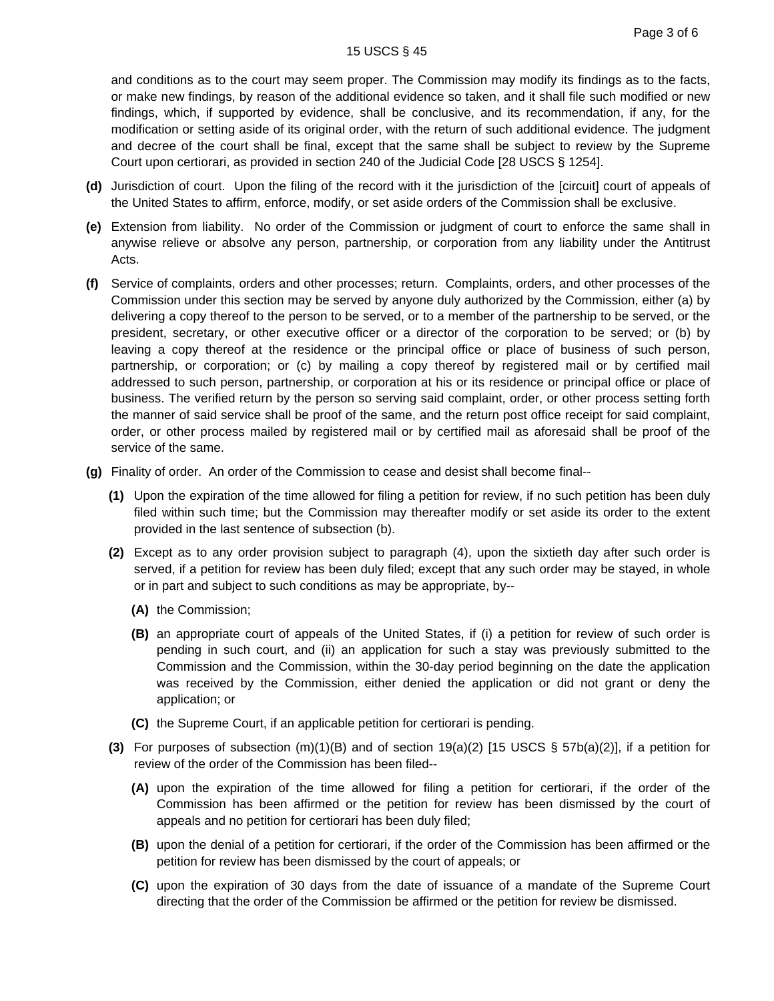and conditions as to the court may seem proper. The Commission may modify its findings as to the facts, or make new findings, by reason of the additional evidence so taken, and it shall file such modified or new findings, which, if supported by evidence, shall be conclusive, and its recommendation, if any, for the modification or setting aside of its original order, with the return of such additional evidence. The judgment and decree of the court shall be final, except that the same shall be subject to review by the Supreme Court upon certiorari, as provided in section 240 of the Judicial Code [28 USCS § 1254].

- **(d)** Jurisdiction of court. Upon the filing of the record with it the jurisdiction of the [circuit] court of appeals of the United States to affirm, enforce, modify, or set aside orders of the Commission shall be exclusive.
- **(e)** Extension from liability. No order of the Commission or judgment of court to enforce the same shall in anywise relieve or absolve any person, partnership, or corporation from any liability under the Antitrust Acts.
- **(f)** Service of complaints, orders and other processes; return. Complaints, orders, and other processes of the Commission under this section may be served by anyone duly authorized by the Commission, either (a) by delivering a copy thereof to the person to be served, or to a member of the partnership to be served, or the president, secretary, or other executive officer or a director of the corporation to be served; or (b) by leaving a copy thereof at the residence or the principal office or place of business of such person, partnership, or corporation; or (c) by mailing a copy thereof by registered mail or by certified mail addressed to such person, partnership, or corporation at his or its residence or principal office or place of business. The verified return by the person so serving said complaint, order, or other process setting forth the manner of said service shall be proof of the same, and the return post office receipt for said complaint, order, or other process mailed by registered mail or by certified mail as aforesaid shall be proof of the service of the same.
- **(g)** Finality of order. An order of the Commission to cease and desist shall become final--
	- **(1)** Upon the expiration of the time allowed for filing a petition for review, if no such petition has been duly filed within such time; but the Commission may thereafter modify or set aside its order to the extent provided in the last sentence of subsection (b).
	- **(2)** Except as to any order provision subject to paragraph (4), upon the sixtieth day after such order is served, if a petition for review has been duly filed; except that any such order may be stayed, in whole or in part and subject to such conditions as may be appropriate, by--
		- **(A)** the Commission;
		- **(B)** an appropriate court of appeals of the United States, if (i) a petition for review of such order is pending in such court, and (ii) an application for such a stay was previously submitted to the Commission and the Commission, within the 30-day period beginning on the date the application was received by the Commission, either denied the application or did not grant or deny the application; or
		- **(C)** the Supreme Court, if an applicable petition for certiorari is pending.
	- **(3)** For purposes of subsection (m)(1)(B) and of section 19(a)(2) [15 USCS § 57b(a)(2)], if a petition for review of the order of the Commission has been filed--
		- **(A)** upon the expiration of the time allowed for filing a petition for certiorari, if the order of the Commission has been affirmed or the petition for review has been dismissed by the court of appeals and no petition for certiorari has been duly filed;
		- **(B)** upon the denial of a petition for certiorari, if the order of the Commission has been affirmed or the petition for review has been dismissed by the court of appeals; or
		- **(C)** upon the expiration of 30 days from the date of issuance of a mandate of the Supreme Court directing that the order of the Commission be affirmed or the petition for review be dismissed.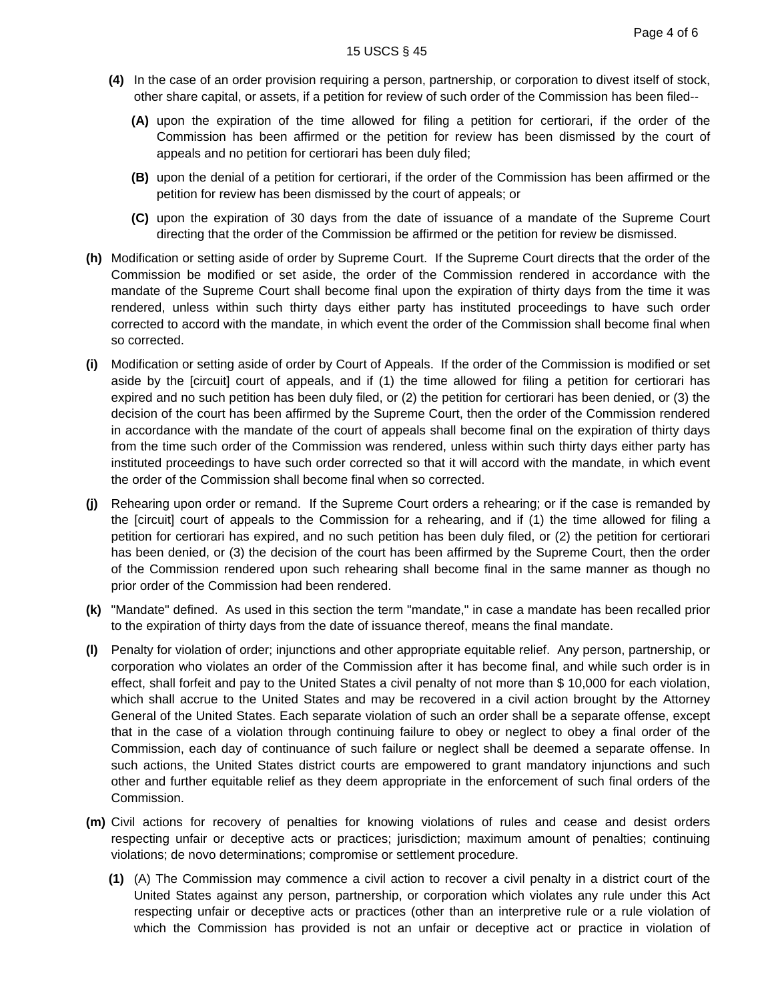- **(4)** In the case of an order provision requiring a person, partnership, or corporation to divest itself of stock, other share capital, or assets, if a petition for review of such order of the Commission has been filed--
	- **(A)** upon the expiration of the time allowed for filing a petition for certiorari, if the order of the Commission has been affirmed or the petition for review has been dismissed by the court of appeals and no petition for certiorari has been duly filed;
	- **(B)** upon the denial of a petition for certiorari, if the order of the Commission has been affirmed or the petition for review has been dismissed by the court of appeals; or
	- **(C)** upon the expiration of 30 days from the date of issuance of a mandate of the Supreme Court directing that the order of the Commission be affirmed or the petition for review be dismissed.
- **(h)** Modification or setting aside of order by Supreme Court. If the Supreme Court directs that the order of the Commission be modified or set aside, the order of the Commission rendered in accordance with the mandate of the Supreme Court shall become final upon the expiration of thirty days from the time it was rendered, unless within such thirty days either party has instituted proceedings to have such order corrected to accord with the mandate, in which event the order of the Commission shall become final when so corrected.
- **(i)** Modification or setting aside of order by Court of Appeals. If the order of the Commission is modified or set aside by the [circuit] court of appeals, and if (1) the time allowed for filing a petition for certiorari has expired and no such petition has been duly filed, or (2) the petition for certiorari has been denied, or (3) the decision of the court has been affirmed by the Supreme Court, then the order of the Commission rendered in accordance with the mandate of the court of appeals shall become final on the expiration of thirty days from the time such order of the Commission was rendered, unless within such thirty days either party has instituted proceedings to have such order corrected so that it will accord with the mandate, in which event the order of the Commission shall become final when so corrected.
- **(j)** Rehearing upon order or remand. If the Supreme Court orders a rehearing; or if the case is remanded by the [circuit] court of appeals to the Commission for a rehearing, and if (1) the time allowed for filing a petition for certiorari has expired, and no such petition has been duly filed, or (2) the petition for certiorari has been denied, or (3) the decision of the court has been affirmed by the Supreme Court, then the order of the Commission rendered upon such rehearing shall become final in the same manner as though no prior order of the Commission had been rendered.
- **(k)** "Mandate" defined. As used in this section the term "mandate," in case a mandate has been recalled prior to the expiration of thirty days from the date of issuance thereof, means the final mandate.
- **(l)** Penalty for violation of order; injunctions and other appropriate equitable relief. Any person, partnership, or corporation who violates an order of the Commission after it has become final, and while such order is in effect, shall forfeit and pay to the United States a civil penalty of not more than \$ 10,000 for each violation, which shall accrue to the United States and may be recovered in a civil action brought by the Attorney General of the United States. Each separate violation of such an order shall be a separate offense, except that in the case of a violation through continuing failure to obey or neglect to obey a final order of the Commission, each day of continuance of such failure or neglect shall be deemed a separate offense. In such actions, the United States district courts are empowered to grant mandatory injunctions and such other and further equitable relief as they deem appropriate in the enforcement of such final orders of the Commission.
- **(m)** Civil actions for recovery of penalties for knowing violations of rules and cease and desist orders respecting unfair or deceptive acts or practices; jurisdiction; maximum amount of penalties; continuing violations; de novo determinations; compromise or settlement procedure.
	- **(1)** (A) The Commission may commence a civil action to recover a civil penalty in a district court of the United States against any person, partnership, or corporation which violates any rule under this Act respecting unfair or deceptive acts or practices (other than an interpretive rule or a rule violation of which the Commission has provided is not an unfair or deceptive act or practice in violation of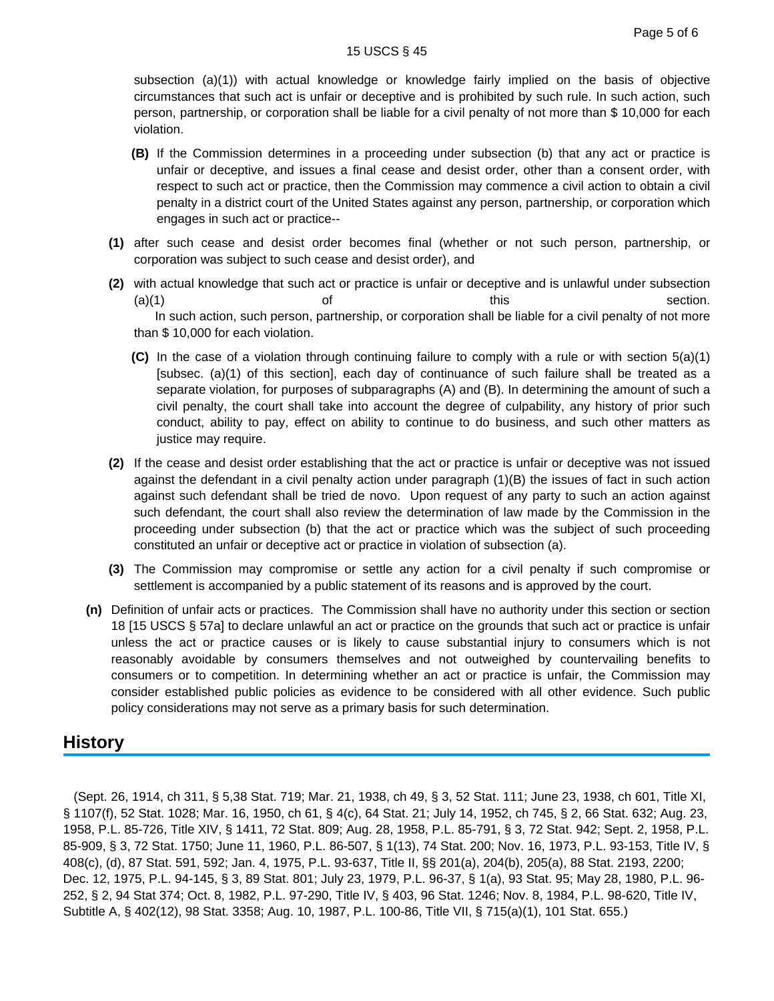subsection (a)(1)) with actual knowledge or knowledge fairly implied on the basis of objective circumstances that such act is unfair or deceptive and is prohibited by such rule. In such action, such person, partnership, or corporation shall be liable for a civil penalty of not more than \$ 10,000 for each violation.

- **(B)** If the Commission determines in a proceeding under subsection (b) that any act or practice is unfair or deceptive, and issues a final cease and desist order, other than a consent order, with respect to such act or practice, then the Commission may commence a civil action to obtain a civil penalty in a district court of the United States against any person, partnership, or corporation which engages in such act or practice--
- **(1)** after such cease and desist order becomes final (whether or not such person, partnership, or corporation was subject to such cease and desist order), and
- **(2)** with actual knowledge that such act or practice is unfair or deceptive and is unlawful under subsection  $(a)(1)$  of this this section. In such action, such person, partnership, or corporation shall be liable for a civil penalty of not more than \$ 10,000 for each violation.
	- **(C)** In the case of a violation through continuing failure to comply with a rule or with section 5(a)(1) [subsec. (a)(1) of this section], each day of continuance of such failure shall be treated as a separate violation, for purposes of subparagraphs (A) and (B). In determining the amount of such a civil penalty, the court shall take into account the degree of culpability, any history of prior such conduct, ability to pay, effect on ability to continue to do business, and such other matters as justice may require.
- **(2)** If the cease and desist order establishing that the act or practice is unfair or deceptive was not issued against the defendant in a civil penalty action under paragraph (1)(B) the issues of fact in such action against such defendant shall be tried de novo. Upon request of any party to such an action against such defendant, the court shall also review the determination of law made by the Commission in the proceeding under subsection (b) that the act or practice which was the subject of such proceeding constituted an unfair or deceptive act or practice in violation of subsection (a).
- **(3)** The Commission may compromise or settle any action for a civil penalty if such compromise or settlement is accompanied by a public statement of its reasons and is approved by the court.
- **(n)** Definition of unfair acts or practices. The Commission shall have no authority under this section or section 18 [15 USCS § 57a] to declare unlawful an act or practice on the grounds that such act or practice is unfair unless the act or practice causes or is likely to cause substantial injury to consumers which is not reasonably avoidable by consumers themselves and not outweighed by countervailing benefits to consumers or to competition. In determining whether an act or practice is unfair, the Commission may consider established public policies as evidence to be considered with all other evidence. Such public policy considerations may not serve as a primary basis for such determination.

## **History**

(Sept. 26, 1914, ch 311, § 5,38 Stat. 719; Mar. 21, 1938, ch 49, § 3, 52 Stat. 111; June 23, 1938, ch 601, Title XI, § 1107(f), 52 Stat. 1028; Mar. 16, 1950, ch 61, § 4(c), 64 Stat. 21; July 14, 1952, ch 745, § 2, 66 Stat. 632; Aug. 23, 1958, P.L. 85-726, Title XIV, § 1411, 72 Stat. 809; Aug. 28, 1958, P.L. 85-791, § 3, 72 Stat. 942; Sept. 2, 1958, P.L. 85-909, § 3, 72 Stat. 1750; June 11, 1960, P.L. 86-507, § 1(13), 74 Stat. 200; Nov. 16, 1973, P.L. 93-153, Title IV, § 408(c), (d), 87 Stat. 591, 592; Jan. 4, 1975, P.L. 93-637, Title II, §§ 201(a), 204(b), 205(a), 88 Stat. 2193, 2200; Dec. 12, 1975, P.L. 94-145, § 3, 89 Stat. 801; July 23, 1979, P.L. 96-37, § 1(a), 93 Stat. 95; May 28, 1980, P.L. 96- 252, § 2, 94 Stat 374; Oct. 8, 1982, P.L. 97-290, Title IV, § 403, 96 Stat. 1246; Nov. 8, 1984, P.L. 98-620, Title IV, Subtitle A, § 402(12), 98 Stat. 3358; Aug. 10, 1987, P.L. 100-86, Title VII, § 715(a)(1), 101 Stat. 655.)